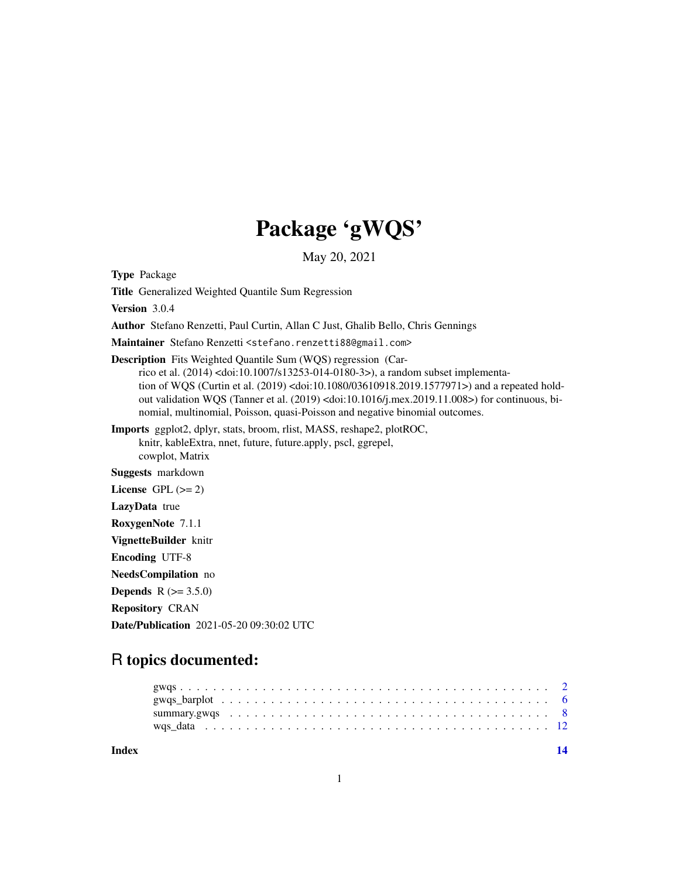## Package 'gWQS'

May 20, 2021

<span id="page-0-0"></span>Type Package

Title Generalized Weighted Quantile Sum Regression

Version 3.0.4

Author Stefano Renzetti, Paul Curtin, Allan C Just, Ghalib Bello, Chris Gennings

Maintainer Stefano Renzetti <stefano.renzetti88@gmail.com>

Description Fits Weighted Quantile Sum (WQS) regression (Car-

rico et al. (2014) <doi:10.1007/s13253-014-0180-3>), a random subset implementation of WQS (Curtin et al. (2019) <doi:10.1080/03610918.2019.1577971>) and a repeated holdout validation WQS (Tanner et al.  $(2019)$  <doi:10.1016/j.mex.2019.11.008>) for continuous, binomial, multinomial, Poisson, quasi-Poisson and negative binomial outcomes.

Imports ggplot2, dplyr, stats, broom, rlist, MASS, reshape2, plotROC, knitr, kableExtra, nnet, future, future.apply, pscl, ggrepel, cowplot, Matrix

Suggests markdown

License GPL  $(>= 2)$ 

LazyData true

RoxygenNote 7.1.1

VignetteBuilder knitr

Encoding UTF-8

NeedsCompilation no

**Depends** R  $(>= 3.5.0)$ 

Repository CRAN

Date/Publication 2021-05-20 09:30:02 UTC

### R topics documented:

**Index** 2008 **[14](#page-13-0)**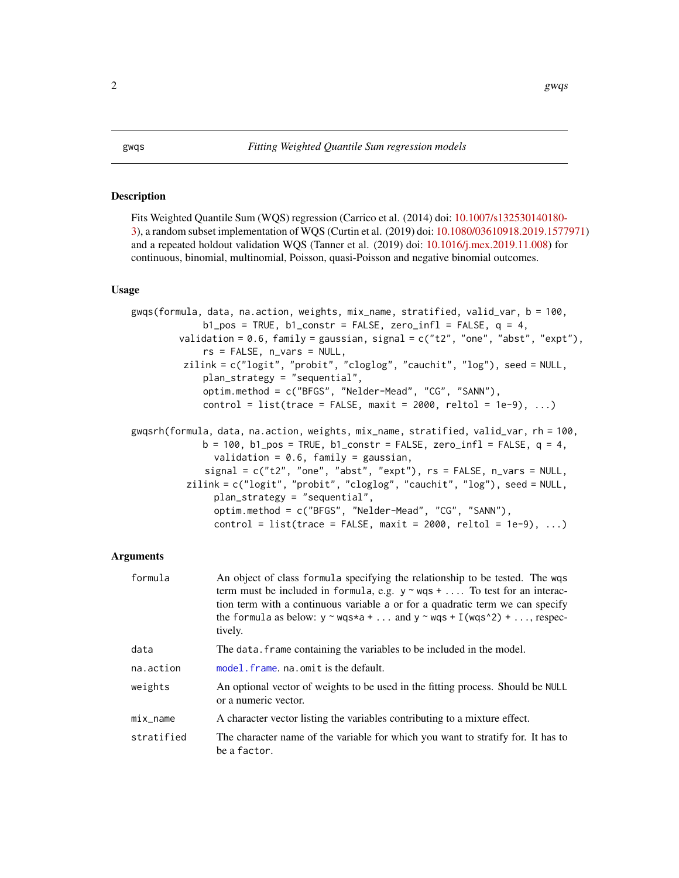#### <span id="page-1-0"></span>Description

Fits Weighted Quantile Sum (WQS) regression (Carrico et al. (2014) doi: [10.1007/s132530140180-](https://doi.org/10.1007/s13253-014-0180-3) [3\)](https://doi.org/10.1007/s13253-014-0180-3), a random subset implementation of WQS (Curtin et al. (2019) doi: [10.1080/03610918.2019.1577971\)](https://doi.org/10.1080/03610918.2019.1577971) and a repeated holdout validation WQS (Tanner et al. (2019) doi: [10.1016/j.mex.2019.11.008\)](https://doi.org/10.1016/j.mex.2019.11.008) for continuous, binomial, multinomial, Poisson, quasi-Poisson and negative binomial outcomes.

#### Usage

```
gwqs(formula, data, na.action, weights, mix_name, stratified, valid_var, b = 100,
             b1_pos = TRUE, b1_cconstr = FALSE, zero_infl = FALSE, q = 4,
        validation = 0.6, family = gaussian, signal = c("t2", "one", "abst", "expt"),rs = FALSE, n_vars = NULL,
         zilink = c("logit", "probit", "cloglog", "cauchit", "log"), seed = NULL,
             plan_strategy = "sequential",
             optim.method = c("BFGS", "Nelder-Mead", "CG", "SANN"),
             control = list(true = FALSE, maxit = 2000, reltol = 1e-9), ...gwqsrh(formula, data, na.action, weights, mix_name, stratified, valid_var, rh = 100,
             b = 100, b1_pos = TRUE, b1_cconstr = FALSE, zero_infl = FALSE, q = 4,
               validation = 0.6, family = gaussian,
             signal = c("t2", "one", "abst", "expt"), rs = FALSE, n_vars = NULL,zilink = c("logit", "probit", "cloglog", "cauchit", "log"), seed = NULL,
               plan_strategy = "sequential",
               optim.method = c("BFGS", "Nelder-Mead", "CG", "SANN"),
               control = list(true = FALSE, maxit = 2000, reltol = 1e-9), ...
```
#### Arguments

| formula    | An object of class formula specifying the relationship to be tested. The wqs<br>term must be included in formula, e.g. $y \sim wqs + $ To test for an interac-<br>tion term with a continuous variable a or for a quadratic term we can specify<br>the formula as below: $y \sim wqs \star a + $ and $y \sim wqs + I(wqs \star 2) + $ , respec-<br>tively. |
|------------|------------------------------------------------------------------------------------------------------------------------------------------------------------------------------------------------------------------------------------------------------------------------------------------------------------------------------------------------------------|
| data       | The data. frame containing the variables to be included in the model.                                                                                                                                                                                                                                                                                      |
| na.action  | model. frame, na. omit is the default.                                                                                                                                                                                                                                                                                                                     |
| weights    | An optional vector of weights to be used in the fitting process. Should be NULL<br>or a numeric vector.                                                                                                                                                                                                                                                    |
| mix_name   | A character vector listing the variables contributing to a mixture effect.                                                                                                                                                                                                                                                                                 |
| stratified | The character name of the variable for which you want to stratify for. It has to<br>be a factor.                                                                                                                                                                                                                                                           |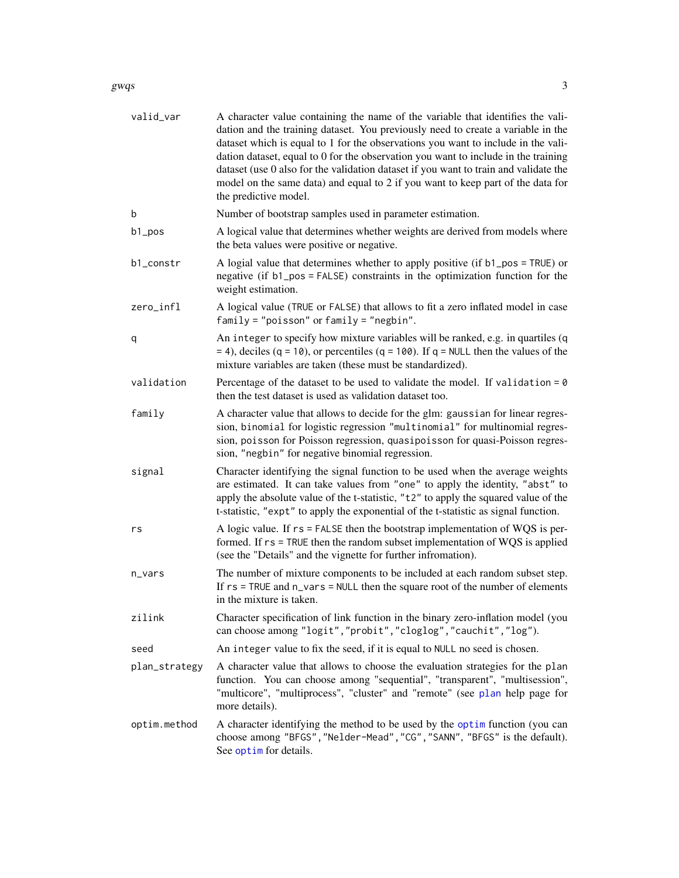<span id="page-2-0"></span>

| valid_var     | A character value containing the name of the variable that identifies the vali-<br>dation and the training dataset. You previously need to create a variable in the<br>dataset which is equal to 1 for the observations you want to include in the vali-<br>dation dataset, equal to 0 for the observation you want to include in the training<br>dataset (use 0 also for the validation dataset if you want to train and validate the<br>model on the same data) and equal to 2 if you want to keep part of the data for<br>the predictive model. |
|---------------|----------------------------------------------------------------------------------------------------------------------------------------------------------------------------------------------------------------------------------------------------------------------------------------------------------------------------------------------------------------------------------------------------------------------------------------------------------------------------------------------------------------------------------------------------|
| b             | Number of bootstrap samples used in parameter estimation.                                                                                                                                                                                                                                                                                                                                                                                                                                                                                          |
| b1_pos        | A logical value that determines whether weights are derived from models where<br>the beta values were positive or negative.                                                                                                                                                                                                                                                                                                                                                                                                                        |
| b1_constr     | A logial value that determines whether to apply positive (if $b1_p$ pos = TRUE) or<br>negative (if b1_pos = FALSE) constraints in the optimization function for the<br>weight estimation.                                                                                                                                                                                                                                                                                                                                                          |
| zero_infl     | A logical value (TRUE or FALSE) that allows to fit a zero inflated model in case<br>$family = "poisson"$ or $family = "negbin".$                                                                                                                                                                                                                                                                                                                                                                                                                   |
| q             | An integer to specify how mixture variables will be ranked, e.g. in quartiles (q<br>$=$ 4), deciles (q = 10), or percentiles (q = 100). If q = NULL then the values of the<br>mixture variables are taken (these must be standardized).                                                                                                                                                                                                                                                                                                            |
| validation    | Percentage of the dataset to be used to validate the model. If validation = $0$<br>then the test dataset is used as validation dataset too.                                                                                                                                                                                                                                                                                                                                                                                                        |
| family        | A character value that allows to decide for the glm: gaussian for linear regres-<br>sion, binomial for logistic regression "multinomial" for multinomial regres-<br>sion, poisson for Poisson regression, quasipoisson for quasi-Poisson regres-<br>sion, "negbin" for negative binomial regression.                                                                                                                                                                                                                                               |
| signal        | Character identifying the signal function to be used when the average weights<br>are estimated. It can take values from "one" to apply the identity, "abst" to<br>apply the absolute value of the t-statistic, "t2" to apply the squared value of the<br>t-statistic, "expt" to apply the exponential of the t-statistic as signal function.                                                                                                                                                                                                       |
| rs            | A logic value. If $rs = FALSE$ then the bootstrap implementation of WQS is per-<br>formed. If rs = TRUE then the random subset implementation of WQS is applied<br>(see the "Details" and the vignette for further infromation).                                                                                                                                                                                                                                                                                                                   |
| n_vars        | The number of mixture components to be included at each random subset step.<br>If $rs = TRUE$ and $n_{vars} = NULL$ then the square root of the number of elements<br>in the mixture is taken.                                                                                                                                                                                                                                                                                                                                                     |
| zilink        | Character specification of link function in the binary zero-inflation model (you<br>can choose among "logit", "probit", "cloglog", "cauchit", "log").                                                                                                                                                                                                                                                                                                                                                                                              |
| seed          | An integer value to fix the seed, if it is equal to NULL no seed is chosen.                                                                                                                                                                                                                                                                                                                                                                                                                                                                        |
| plan_strategy | A character value that allows to choose the evaluation strategies for the plan<br>function. You can choose among "sequential", "transparent", "multisession",<br>"multicore", "multiprocess", "cluster" and "remote" (see plan help page for<br>more details).                                                                                                                                                                                                                                                                                     |
| optim.method  | A character identifying the method to be used by the optim function (you can<br>choose among "BFGS", "Nelder-Mead", "CG", "SANN", "BFGS" is the default).<br>See optim for details.                                                                                                                                                                                                                                                                                                                                                                |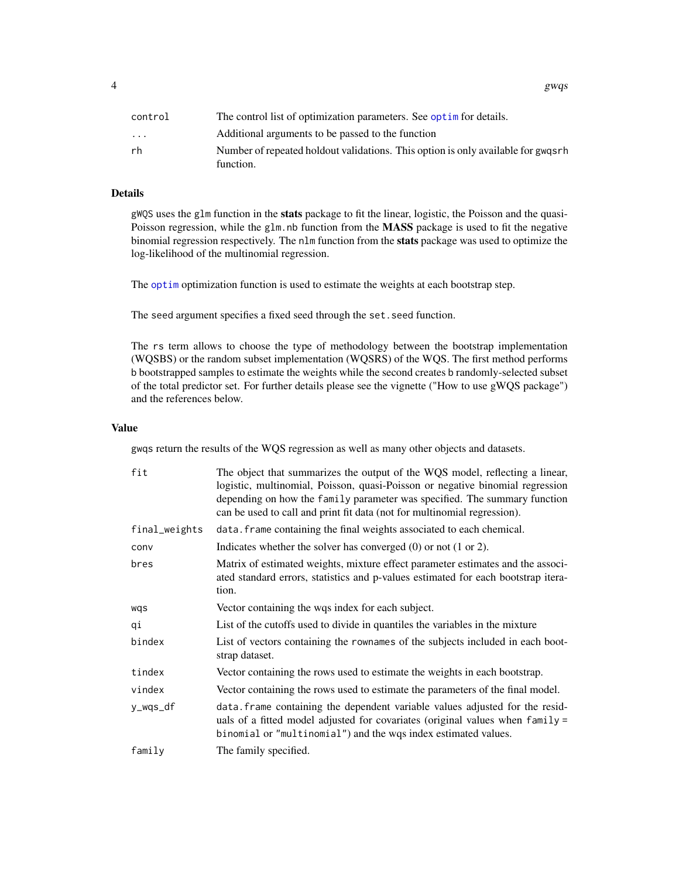<span id="page-3-0"></span>

| control                 | The control list of optimization parameters. See optime for details.                          |
|-------------------------|-----------------------------------------------------------------------------------------------|
| $\cdot$ $\cdot$ $\cdot$ | Additional arguments to be passed to the function                                             |
| rh                      | Number of repeated holdout validations. This option is only available for gwgsrh<br>function. |

#### Details

gWQS uses the glm function in the stats package to fit the linear, logistic, the Poisson and the quasi-Poisson regression, while the glm.nb function from the **MASS** package is used to fit the negative binomial regression respectively. The nlm function from the stats package was used to optimize the log-likelihood of the multinomial regression.

The [optim](#page-0-0) optimization function is used to estimate the weights at each bootstrap step.

The seed argument specifies a fixed seed through the set.seed function.

The rs term allows to choose the type of methodology between the bootstrap implementation (WQSBS) or the random subset implementation (WQSRS) of the WQS. The first method performs b bootstrapped samples to estimate the weights while the second creates b randomly-selected subset of the total predictor set. For further details please see the vignette ("How to use gWQS package") and the references below.

#### Value

gwqs return the results of the WQS regression as well as many other objects and datasets.

| fit           | The object that summarizes the output of the WQS model, reflecting a linear,<br>logistic, multinomial, Poisson, quasi-Poisson or negative binomial regression<br>depending on how the family parameter was specified. The summary function<br>can be used to call and print fit data (not for multinomial regression). |
|---------------|------------------------------------------------------------------------------------------------------------------------------------------------------------------------------------------------------------------------------------------------------------------------------------------------------------------------|
| final_weights | data. frame containing the final weights associated to each chemical.                                                                                                                                                                                                                                                  |
| conv          | Indicates whether the solver has converged $(0)$ or not $(1 \text{ or } 2)$ .                                                                                                                                                                                                                                          |
| bres          | Matrix of estimated weights, mixture effect parameter estimates and the associ-<br>ated standard errors, statistics and p-values estimated for each bootstrap itera-<br>tion.                                                                                                                                          |
| wqs           | Vector containing the wqs index for each subject.                                                                                                                                                                                                                                                                      |
| qi            | List of the cutoffs used to divide in quantiles the variables in the mixture                                                                                                                                                                                                                                           |
| bindex        | List of vectors containing the rownames of the subjects included in each boot-<br>strap dataset.                                                                                                                                                                                                                       |
| tindex        | Vector containing the rows used to estimate the weights in each bootstrap.                                                                                                                                                                                                                                             |
| vindex        | Vector containing the rows used to estimate the parameters of the final model.                                                                                                                                                                                                                                         |
| y_wqs_df      | data. Frame containing the dependent variable values adjusted for the resid-<br>uals of a fitted model adjusted for covariates (original values when family =<br>binomial or "multinomial") and the wqs index estimated values.                                                                                        |
| family        | The family specified.                                                                                                                                                                                                                                                                                                  |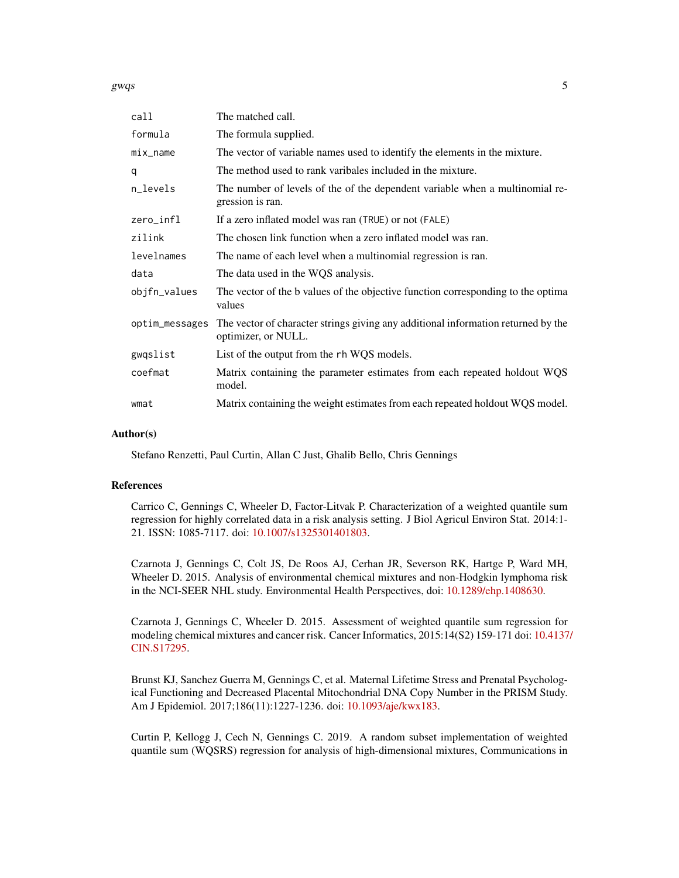gwqs  $5<sup>5</sup>$ 

| call           | The matched call.                                                                                        |
|----------------|----------------------------------------------------------------------------------------------------------|
| formula        | The formula supplied.                                                                                    |
| mix_name       | The vector of variable names used to identify the elements in the mixture.                               |
| q              | The method used to rank varibales included in the mixture.                                               |
| n_levels       | The number of levels of the of the dependent variable when a multinomial re-<br>gression is ran.         |
| zero_infl      | If a zero inflated model was ran (TRUE) or not (FALE)                                                    |
| zilink         | The chosen link function when a zero inflated model was ran.                                             |
| levelnames     | The name of each level when a multinomial regression is ran.                                             |
| data           | The data used in the WQS analysis.                                                                       |
| objfn_values   | The vector of the b values of the objective function corresponding to the optima<br>values               |
| optim_messages | The vector of character strings giving any additional information returned by the<br>optimizer, or NULL. |
| gwqslist       | List of the output from the rh WQS models.                                                               |
| coefmat        | Matrix containing the parameter estimates from each repeated holdout WQS<br>model.                       |
| wmat           | Matrix containing the weight estimates from each repeated holdout WQS model.                             |

#### Author(s)

Stefano Renzetti, Paul Curtin, Allan C Just, Ghalib Bello, Chris Gennings

#### References

Carrico C, Gennings C, Wheeler D, Factor-Litvak P. Characterization of a weighted quantile sum regression for highly correlated data in a risk analysis setting. J Biol Agricul Environ Stat. 2014:1- 21. ISSN: 1085-7117. doi: [10.1007/s1325301401803.](https://doi.org/10.1007/s13253-014-0180-3)

Czarnota J, Gennings C, Colt JS, De Roos AJ, Cerhan JR, Severson RK, Hartge P, Ward MH, Wheeler D. 2015. Analysis of environmental chemical mixtures and non-Hodgkin lymphoma risk in the NCI-SEER NHL study. Environmental Health Perspectives, doi: [10.1289/ehp.1408630.](https://doi.org/10.1289/ehp.1408630)

Czarnota J, Gennings C, Wheeler D. 2015. Assessment of weighted quantile sum regression for modeling chemical mixtures and cancer risk. Cancer Informatics, 2015:14(S2) 159-171 doi: [10.4137](https://doi.org/10.4137/CIN.S17295)/ [CIN.S17295.](https://doi.org/10.4137/CIN.S17295)

Brunst KJ, Sanchez Guerra M, Gennings C, et al. Maternal Lifetime Stress and Prenatal Psychological Functioning and Decreased Placental Mitochondrial DNA Copy Number in the PRISM Study. Am J Epidemiol. 2017;186(11):1227-1236. doi: [10.1093/aje/kwx183.](https://doi.org/10.1093/aje/kwx183)

Curtin P, Kellogg J, Cech N, Gennings C. 2019. A random subset implementation of weighted quantile sum (WQSRS) regression for analysis of high-dimensional mixtures, Communications in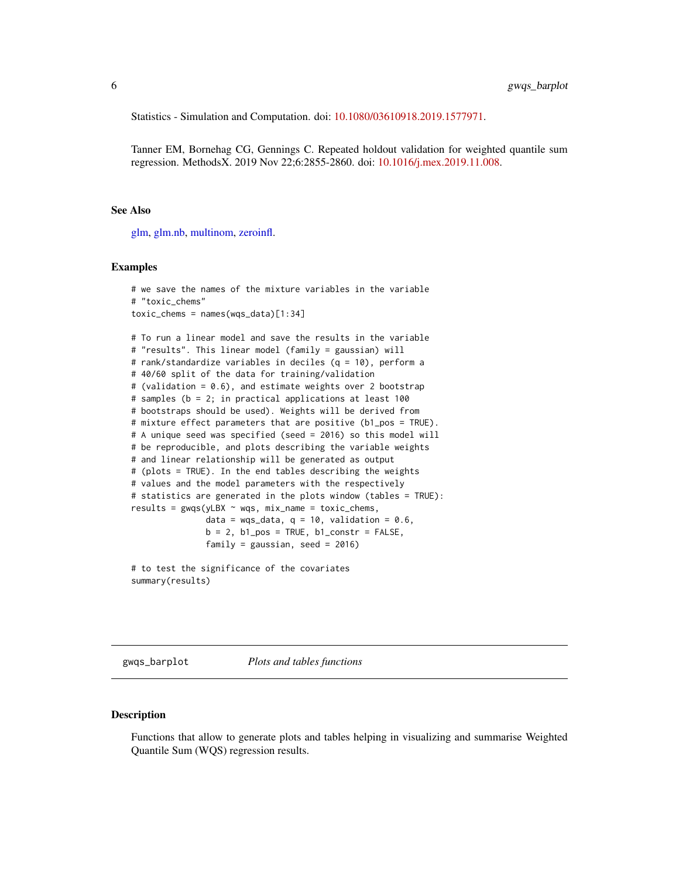<span id="page-5-0"></span>Statistics - Simulation and Computation. doi: [10.1080/03610918.2019.1577971.](https://doi.org/10.1080/03610918.2019.1577971)

Tanner EM, Bornehag CG, Gennings C. Repeated holdout validation for weighted quantile sum regression. MethodsX. 2019 Nov 22;6:2855-2860. doi: [10.1016/j.mex.2019.11.008.](https://doi.org/10.1016/j.mex.2019.11.008)

#### See Also

[glm,](#page-0-0) [glm.nb,](#page-0-0) [multinom,](#page-0-0) [zeroinfl.](#page-0-0)

#### Examples

```
# we save the names of the mixture variables in the variable
# "toxic_chems"
toxic_chems = names(wqs_data)[1:34]
# To run a linear model and save the results in the variable
# "results". This linear model (family = gaussian) will
# rank/standardize variables in deciles (q = 10), perform a
# 40/60 split of the data for training/validation
# (validation = 0.6), and estimate weights over 2 bootstrap
# samples (b = 2; in practical applications at least 100
# bootstraps should be used). Weights will be derived from
# mixture effect parameters that are positive (b1_pos = TRUE).
# A unique seed was specified (seed = 2016) so this model will
# be reproducible, and plots describing the variable weights
# and linear relationship will be generated as output
# (plots = TRUE). In the end tables describing the weights
# values and the model parameters with the respectively
# statistics are generated in the plots window (tables = TRUE):
results = gwqs(yLBX ~ wqs, mix_name = toxic_chems,
               data = wqs_data, q = 10, validation = 0.6,
               b = 2, b1_pos = TRUE, b1_constr = FALSE,
               family = gaussian, seed = 2016)
```
# to test the significance of the covariates summary(results)

gwqs\_barplot *Plots and tables functions*

#### **Description**

Functions that allow to generate plots and tables helping in visualizing and summarise Weighted Quantile Sum (WQS) regression results.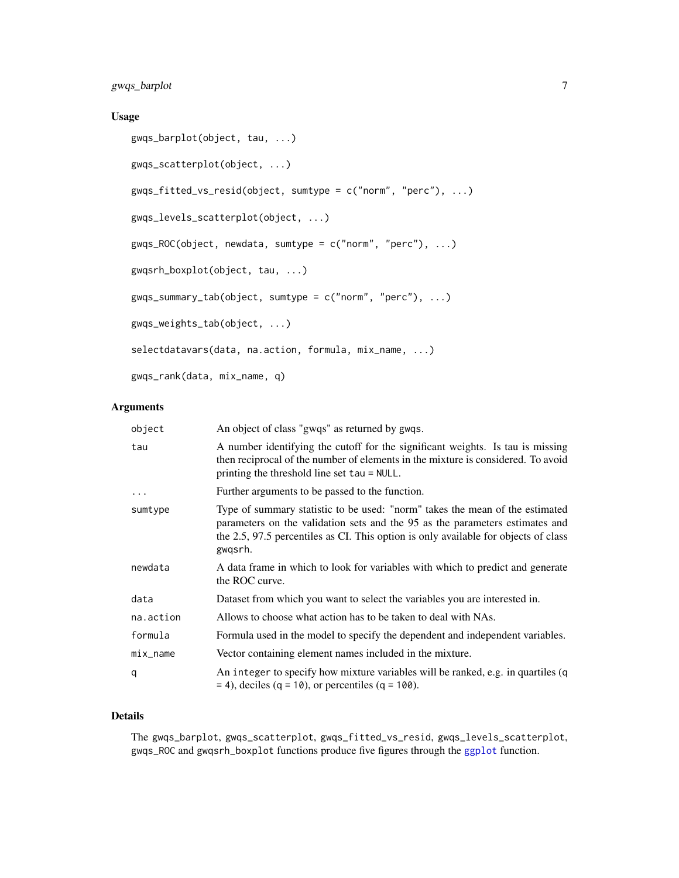#### <span id="page-6-0"></span>Usage

```
gwqs_barplot(object, tau, ...)
gwqs_scatterplot(object, ...)
gwqs_fitted_vs_resid(object, sumtype = c("norm", "perc"), ...)
gwqs_levels_scatterplot(object, ...)
gwqs_ROC(object, newdata, sumtype = c("norm", "perc"), ...)
gwqsrh_boxplot(object, tau, ...)
gwqs_summary_tab(object, sumtype = c("norm", "perc"), ...)
gwqs_weights_tab(object, ...)
selectdatavars(data, na.action, formula, mix_name, ...)
gwqs_rank(data, mix_name, q)
```
#### Arguments

| An object of class "gwqs" as returned by gwqs.                                                                                                                                                                                                                 |
|----------------------------------------------------------------------------------------------------------------------------------------------------------------------------------------------------------------------------------------------------------------|
| A number identifying the cutoff for the significant weights. Is tau is missing<br>then reciprocal of the number of elements in the mixture is considered. To avoid<br>printing the threshold line set tau = NULL.                                              |
| Further arguments to be passed to the function.                                                                                                                                                                                                                |
| Type of summary statistic to be used: "norm" takes the mean of the estimated<br>parameters on the validation sets and the 95 as the parameters estimates and<br>the 2.5, 97.5 percentiles as CI. This option is only available for objects of class<br>gwqsrh. |
| A data frame in which to look for variables with which to predict and generate<br>the ROC curve.                                                                                                                                                               |
| Dataset from which you want to select the variables you are interested in.                                                                                                                                                                                     |
| Allows to choose what action has to be taken to deal with NAs.                                                                                                                                                                                                 |
| Formula used in the model to specify the dependent and independent variables.                                                                                                                                                                                  |
| Vector containing element names included in the mixture.                                                                                                                                                                                                       |
| An integer to specify how mixture variables will be ranked, e.g. in quartiles (q<br>$=$ 4), deciles (q = 10), or percentiles (q = 100).                                                                                                                        |
|                                                                                                                                                                                                                                                                |

#### Details

The gwqs\_barplot, gwqs\_scatterplot, gwqs\_fitted\_vs\_resid, gwqs\_levels\_scatterplot, gwqs\_ROC and gwqsrh\_boxplot functions produce five figures through the [ggplot](#page-0-0) function.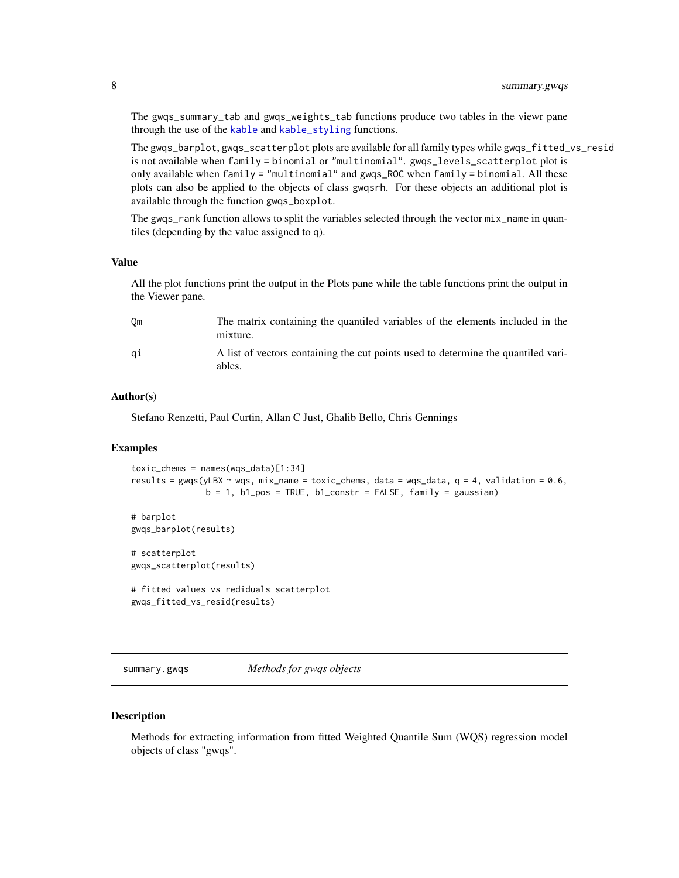<span id="page-7-0"></span>The gwqs\_summary\_tab and gwqs\_weights\_tab functions produce two tables in the viewr pane through the use of the [kable](#page-0-0) and [kable\\_styling](#page-0-0) functions.

The gwqs\_barplot, gwqs\_scatterplot plots are available for all family types while gwqs\_fitted\_vs\_resid is not available when family = binomial or "multinomial". gwqs\_levels\_scatterplot plot is only available when family = "multinomial" and gwqs\_ROC when family = binomial. All these plots can also be applied to the objects of class gwqsrh. For these objects an additional plot is available through the function gwqs\_boxplot.

The gwqs\_rank function allows to split the variables selected through the vector  $mix$  name in quantiles (depending by the value assigned to q).

#### Value

All the plot functions print the output in the Plots pane while the table functions print the output in the Viewer pane.

| Om | The matrix containing the quantiled variables of the elements included in the<br>mixture.   |
|----|---------------------------------------------------------------------------------------------|
| ai | A list of vectors containing the cut points used to determine the quantiled vari-<br>ables. |

#### Author(s)

Stefano Renzetti, Paul Curtin, Allan C Just, Ghalib Bello, Chris Gennings

#### Examples

```
toxic_chems = names(wqs_data)[1:34]
results = gwqs(yLBX ~ wqs, mix_name = toxic_chems, data = wqs_data, q = 4, validation = 0.6,
               b = 1, b1_pos = TRUE, b1_constr = FALSE, family = gaussian)
# barplot
gwqs_barplot(results)
```
# scatterplot gwqs\_scatterplot(results)

# fitted values vs rediduals scatterplot gwqs\_fitted\_vs\_resid(results)

```
summary.gwqs Methods for gwqs objects
```
#### **Description**

Methods for extracting information from fitted Weighted Quantile Sum (WQS) regression model objects of class "gwqs".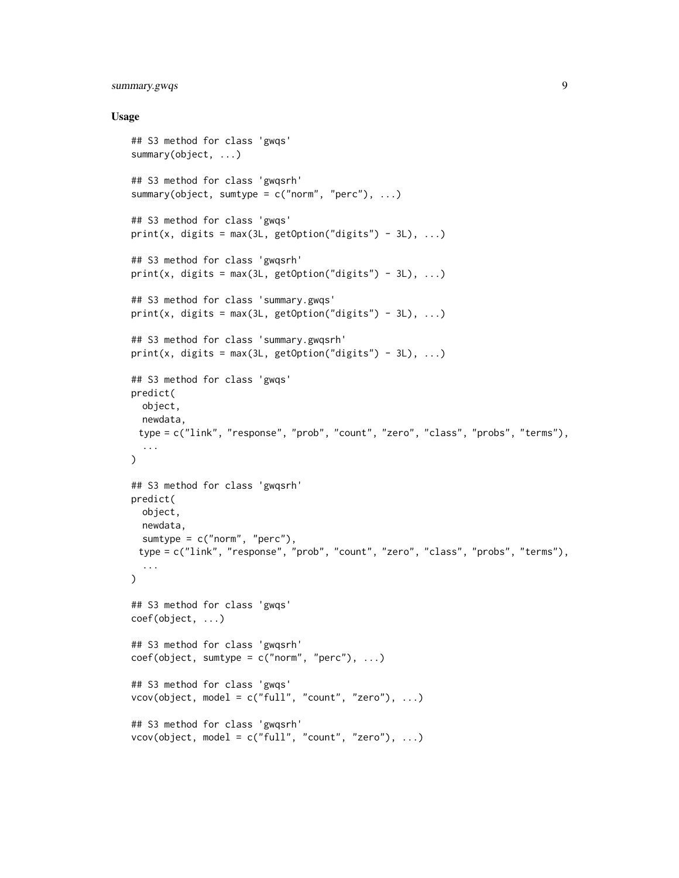#### summary.gwqs 9

#### Usage

```
## S3 method for class 'gwqs'
summary(object, ...)
## S3 method for class 'gwqsrh'
summary(object, sumtype = c("norm", "perc"), ...)
## S3 method for class 'gwqs'
print(x, digits = max(3L, getOption("digits") - 3L), \dots)
## S3 method for class 'gwqsrh'
print(x, \text{ digits} = max(3L, \text{ getOption("digits") - 3L), ...)## S3 method for class 'summary.gwqs'
print(x, digits = max(3L, getOption("digits") - 3L), \dots)
## S3 method for class 'summary.gwqsrh'
print(x, digits = max(3L, getOption("digits") - 3L), \dots)
## S3 method for class 'gwqs'
predict(
 object,
 newdata,
 type = c("link", "response", "prob", "count", "zero", "class", "probs", "terms"),
  ...
\lambda## S3 method for class 'gwqsrh'
predict(
 object,
 newdata,
  sumtype = c("norm", "perc"),type = c("link", "response", "prob", "count", "zero", "class", "probs", "terms"),
  ...
\mathcal{L}## S3 method for class 'gwqs'
coef(object, ...)
## S3 method for class 'gwqsrh'
coef(object, sumtype = c("norm", "perc"), ...)## S3 method for class 'gwqs'
vcov(object, model = c("full", "count", "zero"), ...)## S3 method for class 'gwqsrh'
vcov(object, model = c("full", "count", "zero"), ...)
```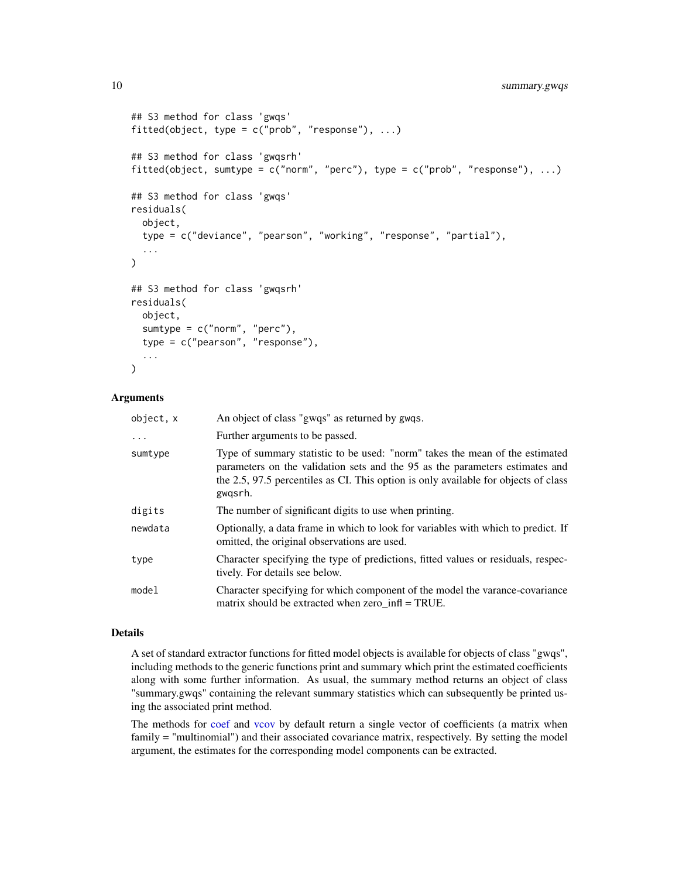```
## S3 method for class 'gwqs'
fitted(object, type = c("prob", "response"), ...)
## S3 method for class 'gwqsrh'
fitted(object, sumtype = c("norm", "perc"), type = c("prob", "response"), ...)
## S3 method for class 'gwqs'
residuals(
 object,
  type = c("deviance", "pearson", "working", "response", "partial"),
  ...
)
## S3 method for class 'gwqsrh'
residuals(
  object,
  sumtype = c("norm", "perc"),
  type = c("pearson", "response"),
  ...
\mathcal{L}
```
#### Arguments

| object, x | An object of class "gwqs" as returned by gwqs.                                                                                                                                                                                                                 |
|-----------|----------------------------------------------------------------------------------------------------------------------------------------------------------------------------------------------------------------------------------------------------------------|
| $\cdots$  | Further arguments to be passed.                                                                                                                                                                                                                                |
| sumtype   | Type of summary statistic to be used: "norm" takes the mean of the estimated<br>parameters on the validation sets and the 95 as the parameters estimates and<br>the 2.5, 97.5 percentiles as CI. This option is only available for objects of class<br>gwgsrh. |
| digits    | The number of significant digits to use when printing.                                                                                                                                                                                                         |
| newdata   | Optionally, a data frame in which to look for variables with which to predict. If<br>omitted, the original observations are used.                                                                                                                              |
| type      | Character specifying the type of predictions, fitted values or residuals, respec-<br>tively. For details see below.                                                                                                                                            |
| model     | Character specifying for which component of the model the varance-covariance<br>matrix should be extracted when zero $\inf$ = TRUE.                                                                                                                            |

#### Details

A set of standard extractor functions for fitted model objects is available for objects of class "gwqs", including methods to the generic functions print and summary which print the estimated coefficients along with some further information. As usual, the summary method returns an object of class "summary.gwqs" containing the relevant summary statistics which can subsequently be printed using the associated print method.

The methods for [coef](#page-0-0) and [vcov](#page-0-0) by default return a single vector of coefficients (a matrix when family = "multinomial") and their associated covariance matrix, respectively. By setting the model argument, the estimates for the corresponding model components can be extracted.

<span id="page-9-0"></span>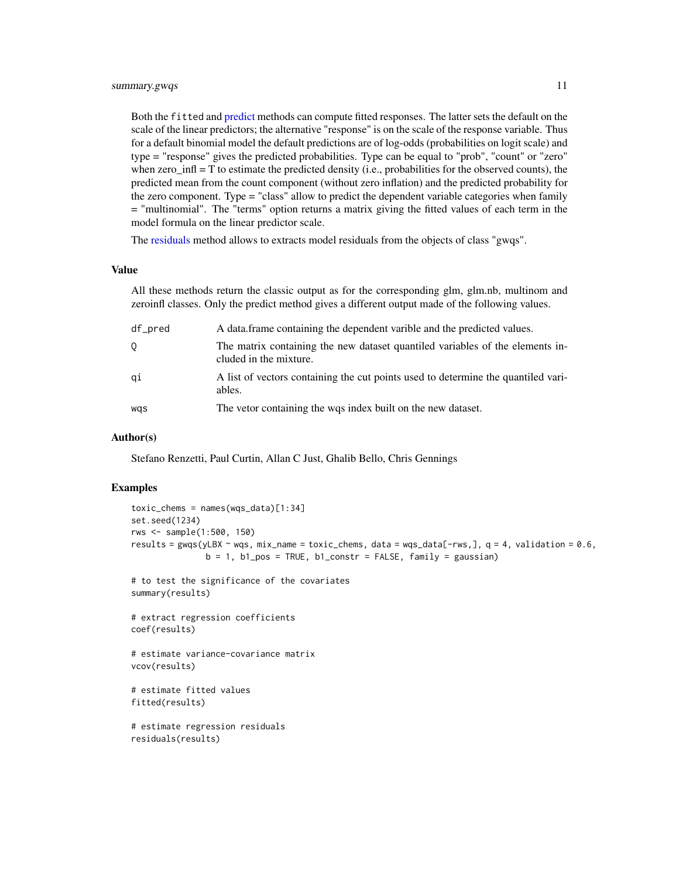<span id="page-10-0"></span>Both the fitted and [predict](#page-0-0) methods can compute fitted responses. The latter sets the default on the scale of the linear predictors; the alternative "response" is on the scale of the response variable. Thus for a default binomial model the default predictions are of log-odds (probabilities on logit scale) and type = "response" gives the predicted probabilities. Type can be equal to "prob", "count" or "zero" when zero  $\inf$  = T to estimate the predicted density (i.e., probabilities for the observed counts), the predicted mean from the count component (without zero inflation) and the predicted probability for the zero component. Type = "class" allow to predict the dependent variable categories when family = "multinomial". The "terms" option returns a matrix giving the fitted values of each term in the model formula on the linear predictor scale.

The [residuals](#page-0-0) method allows to extracts model residuals from the objects of class "gwqs".

#### Value

All these methods return the classic output as for the corresponding glm, glm.nb, multinom and zeroinfl classes. Only the predict method gives a different output made of the following values.

| df_pred | A data frame containing the dependent varible and the predicted values.                                 |
|---------|---------------------------------------------------------------------------------------------------------|
| Q       | The matrix containing the new dataset quantiled variables of the elements in-<br>cluded in the mixture. |
| qi      | A list of vectors containing the cut points used to determine the quantiled vari-<br>ables.             |
| was     | The vetor containing the wqs index built on the new dataset.                                            |

#### Author(s)

Stefano Renzetti, Paul Curtin, Allan C Just, Ghalib Bello, Chris Gennings

#### Examples

```
toxic_{\text{c}}chems = names(wqs_data)[1:34]
set.seed(1234)
rws <- sample(1:500, 150)
results = gwqs(yLBX \sim wqs, mix_name = toxic_chems, data = wqs_data[-rws,], q = 4, validation = 0.6,
               b = 1, b1_pos = TRUE, b1_constr = FALSE, family = gaussian)
# to test the significance of the covariates
summary(results)
# extract regression coefficients
coef(results)
# estimate variance-covariance matrix
vcov(results)
# estimate fitted values
fitted(results)
# estimate regression residuals
residuals(results)
```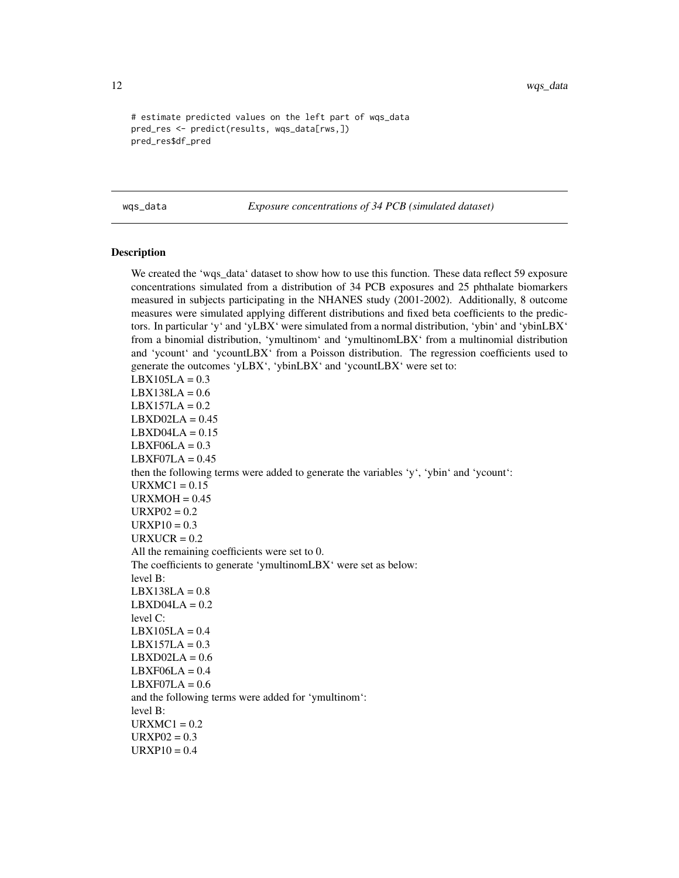```
# estimate predicted values on the left part of wqs_data
pred_res <- predict(results, wqs_data[rws,])
pred_res$df_pred
```
wqs\_data *Exposure concentrations of 34 PCB (simulated dataset)*

#### **Description**

We created the 'wqs\_data' dataset to show how to use this function. These data reflect 59 exposure concentrations simulated from a distribution of 34 PCB exposures and 25 phthalate biomarkers measured in subjects participating in the NHANES study (2001-2002). Additionally, 8 outcome measures were simulated applying different distributions and fixed beta coefficients to the predictors. In particular 'y' and 'yLBX' were simulated from a normal distribution, 'ybin' and 'ybinLBX' from a binomial distribution, 'ymultinom' and 'ymultinomLBX' from a multinomial distribution and 'ycount' and 'ycountLBX' from a Poisson distribution. The regression coefficients used to generate the outcomes 'yLBX', 'ybinLBX' and 'ycountLBX' were set to:  $LBX105LA = 0.3$  $LBX138LA = 0.6$  $LBX157LA = 0.2$  $LBXDO2LA = 0.45$  $LBXDO4LA = 0.15$  $LBXFO6LA = 0.3$  $LBXFO7LA = 0.45$ then the following terms were added to generate the variables 'y', 'ybin' and 'ycount':  $URXMC1 = 0.15$  $URXMOH = 0.45$  $URXP02 = 0.2$  $URXP10 = 0.3$  $URXUCR = 0.2$ All the remaining coefficients were set to 0. The coefficients to generate 'ymultinomLBX' were set as below: level B:  $LBX138LA = 0.8$  $LBXDO4LA = 0.2$ level C:  $LBX105LA = 0.4$  $LBX157LA = 0.3$  $LBXDO2LA = 0.6$  $LBXFO6LA = 0.4$  $LBXFO7LA = 0.6$ and the following terms were added for 'ymultinom': level B:  $URXMC1 = 0.2$  $URXP02 = 0.3$  $URXP10 = 0.4$ 

<span id="page-11-0"></span>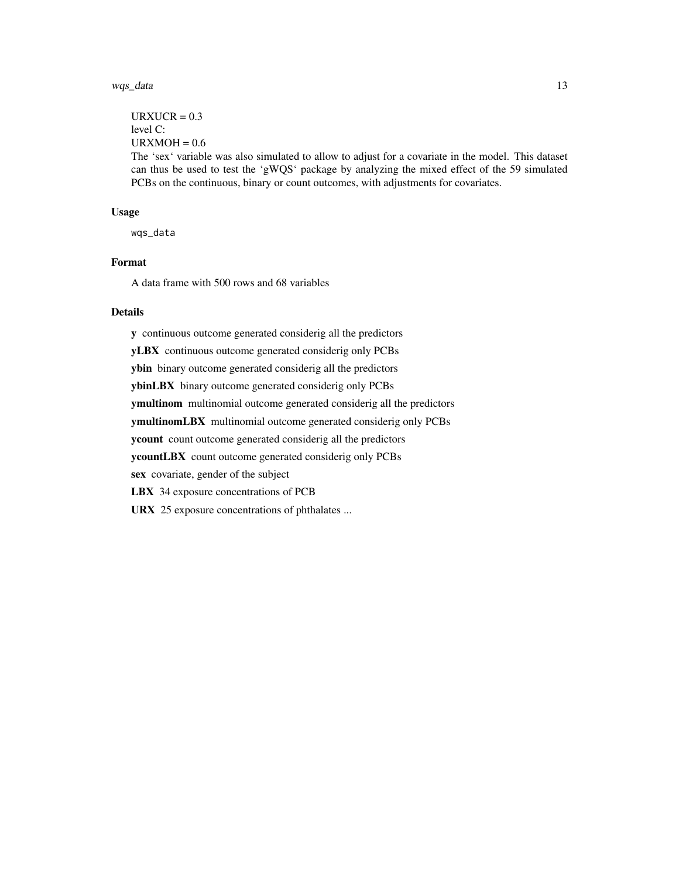#### wqs\_data 13

```
URXUCR = 0.3level C:
URXMOH = 0.6
```
The 'sex' variable was also simulated to allow to adjust for a covariate in the model. This dataset can thus be used to test the 'gWQS' package by analyzing the mixed effect of the 59 simulated PCBs on the continuous, binary or count outcomes, with adjustments for covariates.

#### Usage

wqs\_data

#### Format

A data frame with 500 rows and 68 variables

### Details

y continuous outcome generated considerig all the predictors yLBX continuous outcome generated considerig only PCBs ybin binary outcome generated considerig all the predictors ybinLBX binary outcome generated considerig only PCBs ymultinom multinomial outcome generated considerig all the predictors ymultinomLBX multinomial outcome generated considerig only PCBs ycount count outcome generated considerig all the predictors ycountLBX count outcome generated considerig only PCBs sex covariate, gender of the subject LBX 34 exposure concentrations of PCB URX 25 exposure concentrations of phthalates ...